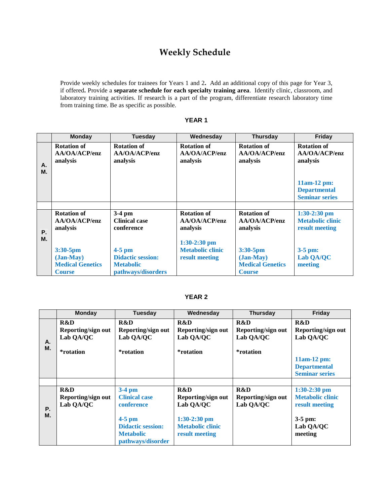## **Weekly Schedule**

Provide weekly schedules for trainees for Years 1 and 2**.** Add an additional copy of this page for Year 3, if offered**.** Provide a **separate schedule for each specialty training area**. Identify clinic, classroom, and laboratory training activities. If research is a part of the program, differentiate research laboratory time from training time. Be as specific as possible.

|           | <b>Monday</b>                                                       | <b>Tuesday</b>                                                                 | Wednesday                                                   | <b>Thursday</b>                                                        | Friday                                                                                                            |
|-----------|---------------------------------------------------------------------|--------------------------------------------------------------------------------|-------------------------------------------------------------|------------------------------------------------------------------------|-------------------------------------------------------------------------------------------------------------------|
| А.<br>M.  | <b>Rotation of</b><br>AA/OA/ACP/enz<br>analysis                     | <b>Rotation of</b><br>AA/OA/ACP/enz<br>analysis                                | <b>Rotation of</b><br>AA/OA/ACP/enz<br>analysis             | <b>Rotation of</b><br>AA/OA/ACP/enz<br>analysis                        | <b>Rotation of</b><br>AA/OA/ACP/enz<br>analysis<br>$11am-12 pm$ :<br><b>Departmental</b><br><b>Seminar series</b> |
|           |                                                                     |                                                                                |                                                             |                                                                        |                                                                                                                   |
| <b>P.</b> | <b>Rotation of</b><br>AA/OA/ACP/enz<br>analysis                     | $3-4$ pm<br><b>Clinical case</b><br>conference                                 | <b>Rotation of</b><br>AA/OA/ACP/enz<br>analysis             | <b>Rotation of</b><br>AA/OA/ACP/enz<br>analysis                        | $1:30-2:30$ pm<br><b>Metabolic clinic</b><br>result meeting                                                       |
| M.        | 3:30-5pm<br>$(Jan-May)$<br><b>Medical Genetics</b><br><b>Course</b> | $4-5$ pm<br><b>Didactic session:</b><br><b>Metabolic</b><br>pathways/disorders | $1:30-2:30$ pm<br><b>Metabolic clinic</b><br>result meeting | $3:30-5$ pm<br>$(Jan-May)$<br><b>Medical Genetics</b><br><b>Course</b> | $3-5$ pm:<br>Lab QA/QC<br>meeting                                                                                 |

## **YEAR 1**

## **YEAR 2**

|          | <b>Monday</b>                                       | Tuesday                                                                                                                         | Wednesday                                                                                             | <b>Thursday</b>                                     | Friday                                                                                           |
|----------|-----------------------------------------------------|---------------------------------------------------------------------------------------------------------------------------------|-------------------------------------------------------------------------------------------------------|-----------------------------------------------------|--------------------------------------------------------------------------------------------------|
| А.<br>М. | R&D<br>Reporting/sign out<br>Lab QA/QC<br>*rotation | R&D<br>Reporting/sign out<br>Lab QA/QC<br>*rotation                                                                             | R&D<br>Reporting/sign out<br>Lab QA/QC<br>*rotation                                                   | R&D<br>Reporting/sign out<br>Lab QA/QC<br>*rotation | R&D<br>Reporting/sign out<br>Lab QA/QC                                                           |
|          |                                                     |                                                                                                                                 |                                                                                                       |                                                     | $11am-12 pm$ :<br><b>Departmental</b><br><b>Seminar series</b>                                   |
| Ρ.<br>М. | <b>R&amp;D</b><br>Reporting/sign out<br>Lab QA/QC   | $3-4$ pm<br><b>Clinical case</b><br>conference<br>$4-5$ pm<br><b>Didactic session:</b><br><b>Metabolic</b><br>pathways/disorder | R&D<br>Reporting/sign out<br>Lab QA/QC<br>$1:30-2:30$ pm<br><b>Metabolic clinic</b><br>result meeting | R&D<br>Reporting/sign out<br>Lab QA/QC              | $1:30-2:30$ pm<br><b>Metabolic clinic</b><br>result meeting<br>$3-5$ pm:<br>Lab QA/QC<br>meeting |